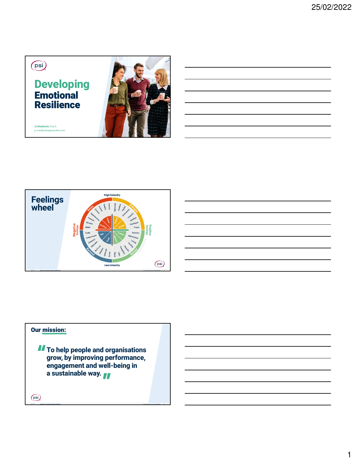





MAY 2020 **EMOTIONAL INTELLIGENCE PROFILE ACCREDITATION** © 2020 PSI SERVICES LLC, ALL RIGHTS RESERVED. **3**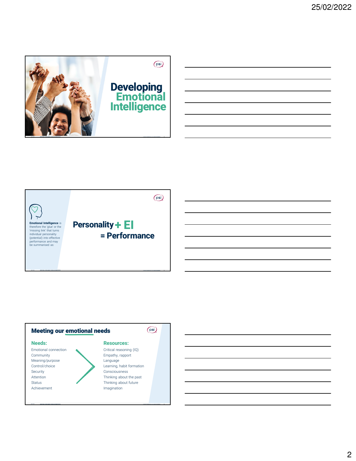



**EMOTIONAL INTELLIGENCE PROFILE ACCREDITATION 6** 

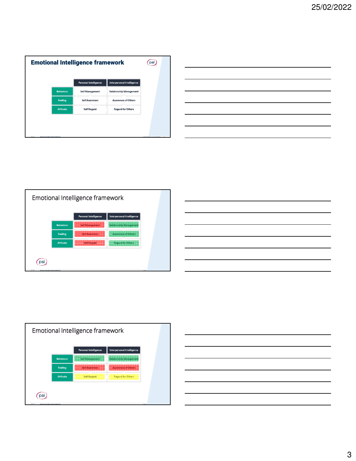| <b>Emotional Intelligence framework</b> |                  |                              | ວຣ                                |  |  |
|-----------------------------------------|------------------|------------------------------|-----------------------------------|--|--|
|                                         |                  | <b>Personal Intelligence</b> | <b>Interpersonal Intelligence</b> |  |  |
|                                         | <b>Behaviour</b> | <b>Self Management</b>       | <b>Relationship Management</b>    |  |  |
|                                         | <b>Feeling</b>   | <b>Self Awareness</b>        | <b>Awareness of Others</b>        |  |  |
|                                         | <b>Attitude</b>  | <b>Self Regard</b>           | <b>Regard for Others</b>          |  |  |
|                                         |                  |                              |                                   |  |  |
|                                         |                  |                              |                                   |  |  |
| <b>ALCOHOL</b>                          |                  |                              |                                   |  |  |

| the control of the control of the control of the control of the control of the control of the control of the control of the control of the control of the control of the control of the control of the control of the control |  |
|-------------------------------------------------------------------------------------------------------------------------------------------------------------------------------------------------------------------------------|--|
|                                                                                                                                                                                                                               |  |
|                                                                                                                                                                                                                               |  |
|                                                                                                                                                                                                                               |  |
|                                                                                                                                                                                                                               |  |
|                                                                                                                                                                                                                               |  |
|                                                                                                                                                                                                                               |  |
|                                                                                                                                                                                                                               |  |
|                                                                                                                                                                                                                               |  |
|                                                                                                                                                                                                                               |  |
|                                                                                                                                                                                                                               |  |
|                                                                                                                                                                                                                               |  |
|                                                                                                                                                                                                                               |  |
|                                                                                                                                                                                                                               |  |
|                                                                                                                                                                                                                               |  |
| <u> 1989 - Andrea Andrew Maria (h. 1989).</u>                                                                                                                                                                                 |  |
|                                                                                                                                                                                                                               |  |
|                                                                                                                                                                                                                               |  |
|                                                                                                                                                                                                                               |  |
|                                                                                                                                                                                                                               |  |
|                                                                                                                                                                                                                               |  |
|                                                                                                                                                                                                                               |  |
|                                                                                                                                                                                                                               |  |
|                                                                                                                                                                                                                               |  |
|                                                                                                                                                                                                                               |  |
|                                                                                                                                                                                                                               |  |
|                                                                                                                                                                                                                               |  |
|                                                                                                                                                                                                                               |  |
|                                                                                                                                                                                                                               |  |
|                                                                                                                                                                                                                               |  |





| Emotional Intelligence framework |                  |                              |                                   |  |
|----------------------------------|------------------|------------------------------|-----------------------------------|--|
|                                  |                  | <b>Personal Intelligence</b> | <b>Interpersonal Intelligence</b> |  |
|                                  | <b>Behaviour</b> | <b>Self Management</b>       | <b>Relationship Managen</b>       |  |
|                                  | <b>Feeling</b>   |                              |                                   |  |
|                                  | <b>Attitude</b>  | <b>Self Regard</b>           | <b>Regard for Others</b>          |  |
|                                  |                  |                              |                                   |  |
|                                  |                  |                              |                                   |  |

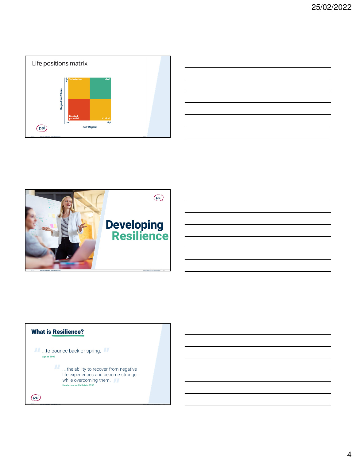



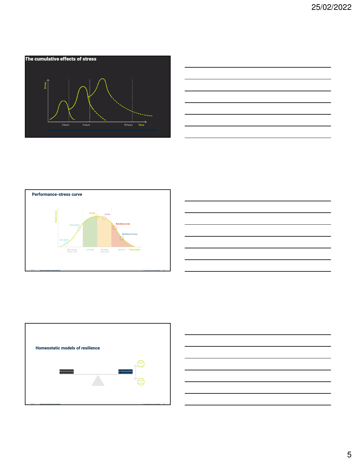

| <u> 1989 - Andrea Santa Andrea Andrea Andrea Andrea Andrea Andrea Andrea Andrea Andrea Andrea Andrea Andrea Andr</u> |  |                          |
|----------------------------------------------------------------------------------------------------------------------|--|--------------------------|
|                                                                                                                      |  |                          |
|                                                                                                                      |  |                          |
|                                                                                                                      |  | $\overline{\phantom{a}}$ |
|                                                                                                                      |  |                          |
|                                                                                                                      |  |                          |
|                                                                                                                      |  |                          |
|                                                                                                                      |  |                          |
|                                                                                                                      |  | $\overline{\phantom{a}}$ |
|                                                                                                                      |  |                          |
|                                                                                                                      |  | $\overline{\phantom{a}}$ |
|                                                                                                                      |  |                          |
|                                                                                                                      |  |                          |
| <u> 1980 - Johann Barnett, fransk politiker (</u>                                                                    |  |                          |







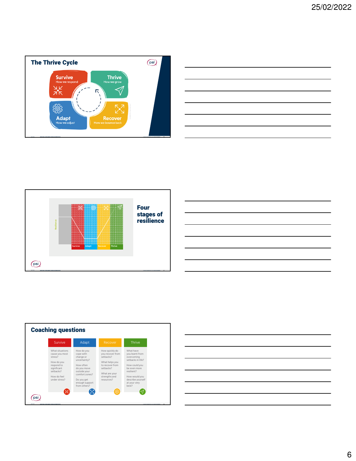

|  | ____ |
|--|------|
|  |      |
|  |      |
|  |      |
|  |      |
|  |      |
|  |      |
|  |      |
|  |      |
|  |      |
|  |      |







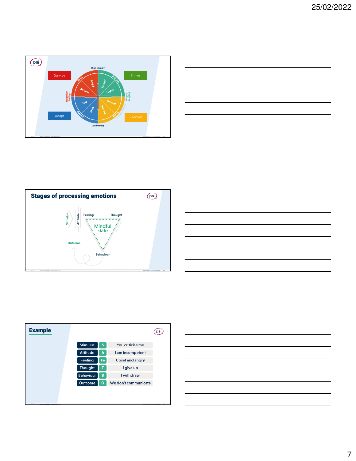

|                                                                                                                      | ______                        |
|----------------------------------------------------------------------------------------------------------------------|-------------------------------|
|                                                                                                                      |                               |
| <u> Andreas Andreas Andreas Andreas Andreas Andreas Andreas Andreas Andreas Andreas Andreas Andreas Andreas Andr</u> | ________                      |
|                                                                                                                      | __                            |
|                                                                                                                      |                               |
|                                                                                                                      | $\overline{\phantom{a}}$      |
|                                                                                                                      | the control of the control of |
|                                                                                                                      |                               |